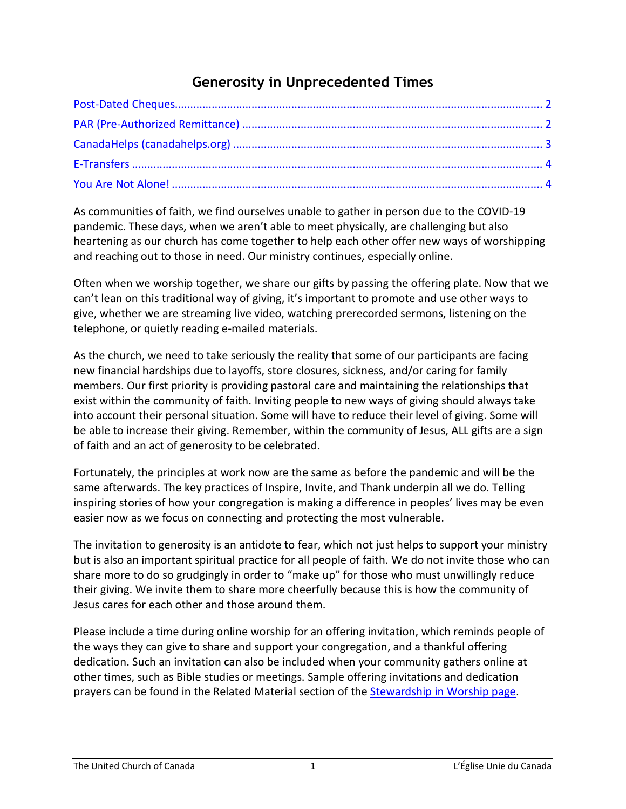# **Generosity in Unprecedented Times**

As communities of faith, we find ourselves unable to gather in person due to the COVID-19 pandemic. These days, when we aren't able to meet physically, are challenging but also heartening as our church has come together to help each other offer new ways of worshipping and reaching out to those in need. Our ministry continues, especially online.

Often when we worship together, we share our gifts by passing the offering plate. Now that we can't lean on this traditional way of giving, it's important to promote and use other ways to give, whether we are streaming live video, watching prerecorded sermons, listening on the telephone, or quietly reading e-mailed materials.

As the church, we need to take seriously the reality that some of our participants are facing new financial hardships due to layoffs, store closures, sickness, and/or caring for family members. Our first priority is providing pastoral care and maintaining the relationships that exist within the community of faith. Inviting people to new ways of giving should always take into account their personal situation. Some will have to reduce their level of giving. Some will be able to increase their giving. Remember, within the community of Jesus, ALL gifts are a sign of faith and an act of generosity to be celebrated.

Fortunately, the principles at work now are the same as before the pandemic and will be the same afterwards. The key practices of Inspire, Invite, and Thank underpin all we do. Telling inspiring stories of how your congregation is making a difference in peoples' lives may be even easier now as we focus on connecting and protecting the most vulnerable.

The invitation to generosity is an antidote to fear, which not just helps to support your ministry but is also an important spiritual practice for all people of faith. We do not invite those who can share more to do so grudgingly in order to "make up" for those who must unwillingly reduce their giving. We invite them to share more cheerfully because this is how the community of Jesus cares for each other and those around them.

Please include a time during online worship for an offering invitation, which reminds people of the ways they can give to share and support your congregation, and a thankful offering dedication. Such an invitation can also be included when your community gathers online at other times, such as Bible studies or meetings. Sample offering invitations and dedication prayers can be found in the Related Material section of the [Stewardship in Worship page.](https://united-church.ca/worship-theme/stewardship-worship)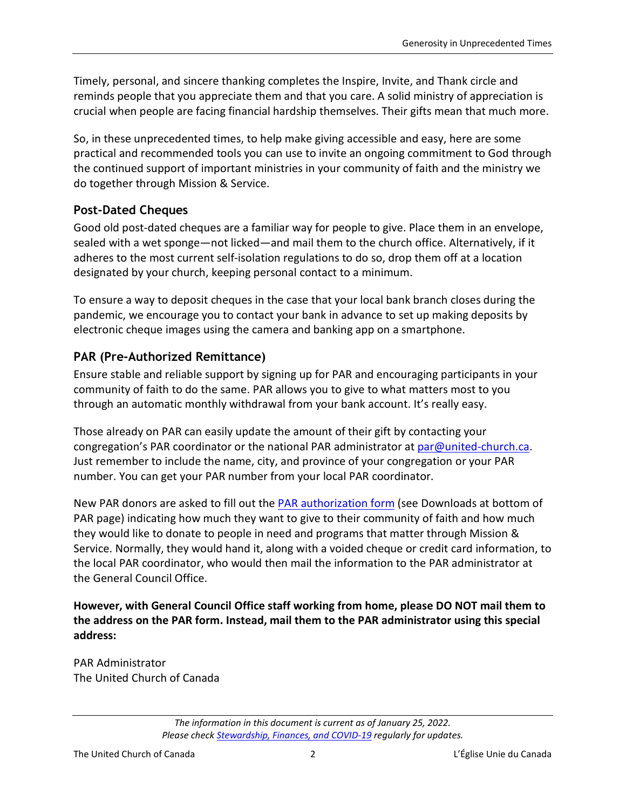Timely, personal, and sincere thanking completes the Inspire, Invite, and Thank circle and reminds people that you appreciate them and that you care. A solid ministry of appreciation is crucial when people are facing financial hardship themselves. Their gifts mean that much more.

So, in these unprecedented times, to help make giving accessible and easy, here are some practical and recommended tools you can use to invite an ongoing commitment to God through the continued support of important ministries in your community of faith and the ministry we do together through Mission & Service.

#### <span id="page-1-0"></span>**Post-Dated Cheques**

Good old post-dated cheques are a familiar way for people to give. Place them in an envelope, sealed with a wet sponge—not licked—and mail them to the church office. Alternatively, if it adheres to the most current self-isolation regulations to do so, drop them off at a location designated by your church, keeping personal contact to a minimum.

To ensure a way to deposit cheques in the case that your local bank branch closes during the pandemic, we encourage you to contact your bank in advance to set up making deposits by electronic cheque images using the camera and banking app on a smartphone.

#### <span id="page-1-1"></span>**PAR (Pre-Authorized Remittance)**

Ensure stable and reliable support by signing up for PAR and encouraging participants in your community of faith to do the same. PAR allows you to give to what matters most to you through an automatic monthly withdrawal from your bank account. It's really easy.

Those already on PAR can easily update the amount of their gift by contacting your congregation's PAR coordinator or the national PAR administrator at [par@united-church.ca.](mailto:par@united-church.ca) Just remember to include the name, city, and province of your congregation or your PAR number. You can get your PAR number from your local PAR coordinator.

New PAR donors are asked to fill out the [PAR authorization form](https://united-church.ca/community-and-faith/get-involved/ways-give/giving-monthly-through-par) (see Downloads at bottom of PAR page) indicating how much they want to give to their community of faith and how much they would like to donate to people in need and programs that matter through Mission & Service. Normally, they would hand it, along with a voided cheque or credit card information, to the local PAR coordinator, who would then mail the information to the PAR administrator at the General Council Office.

**However, with General Council Office staff working from home, please DO NOT mail them to the address on the PAR form. Instead, mail them to the PAR administrator using this special address:**

PAR Administrator The United Church of Canada

*The information in this document is current as of January 25, 2022. Please check [Stewardship, Finances, and COVID-19](https://united-church.ca/community-and-faith/being-community/faith-communities-and-covid-19/stewardship-finances-and-covid) regularly for updates.*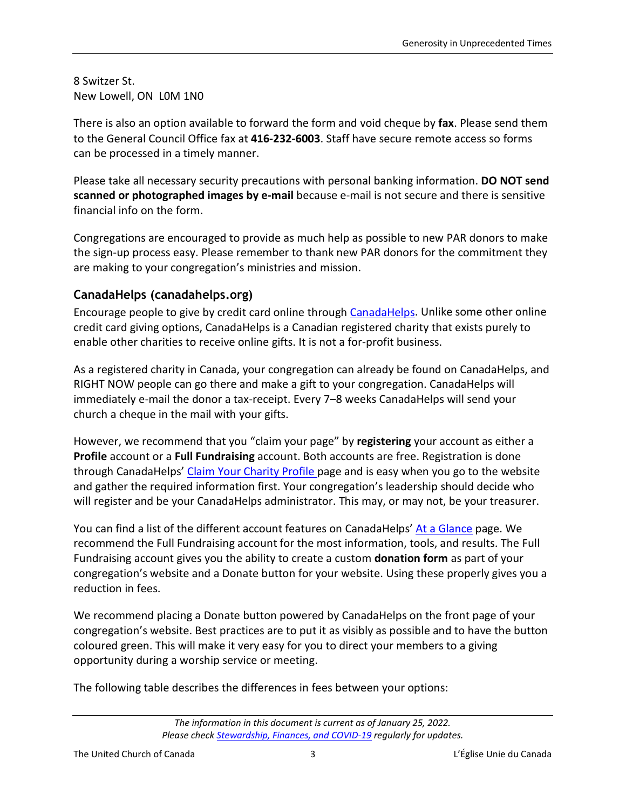8 Switzer St. New Lowell, ON L0M 1N0

There is also an option available to forward the form and void cheque by **fax**. Please send them to the General Council Office fax at **416-232-6003**. Staff have secure remote access so forms can be processed in a timely manner.

Please take all necessary security precautions with personal banking information. **DO NOT send scanned or photographed images by e-mail** because e-mail is not secure and there is sensitive financial info on the form.

Congregations are encouraged to provide as much help as possible to new PAR donors to make the sign-up process easy. Please remember to thank new PAR donors for the commitment they are making to your congregation's ministries and mission.

## <span id="page-2-0"></span>**CanadaHelps (canadahelps.org)**

Encourage people to give by credit card online through [CanadaHelps.](https://www.canadahelps.org/en/) Unlike some other online credit card giving options, CanadaHelps is a Canadian registered charity that exists purely to enable other charities to receive online gifts. It is not a for-profit business.

As a registered charity in Canada, your congregation can already be found on CanadaHelps, and RIGHT NOW people can go there and make a gift to your congregation. CanadaHelps will immediately e-mail the donor a tax-receipt. Every 7‒8 weeks CanadaHelps will send your church a cheque in the mail with your gifts.

However, we recommend that you "claim your page" by **registering** your account as either a **Profile** account or a **Full Fundraising** account. Both accounts are free. Registration is done through CanadaHelps' [Claim Your Charity Profile p](https://www.canadahelps.org/en/for-charities/claim-your-charity-profile/)age and is easy when you go to the website and gather the required information first. Your congregation's leadership should decide who will register and be your CanadaHelps administrator. This may, or may not, be your treasurer.

You can find a list of the different account features on CanadaHelps' [At a Glance](https://www.canadahelps.org/en/at-a-glance/) page. We recommend the Full Fundraising account for the most information, tools, and results. The Full Fundraising account gives you the ability to create a custom **donation form** as part of your congregation's website and a Donate button for your website. Using these properly gives you a reduction in fees.

We recommend placing a Donate button powered by CanadaHelps on the front page of your congregation's website. Best practices are to put it as visibly as possible and to have the button coloured green. This will make it very easy for you to direct your members to a giving opportunity during a worship service or meeting.

The following table describes the differences in fees between your options:

*The information in this document is current as of January 25, 2022. Please check [Stewardship, Finances, and COVID-19](https://united-church.ca/community-and-faith/being-community/faith-communities-and-covid-19/stewardship-finances-and-covid) regularly for updates.*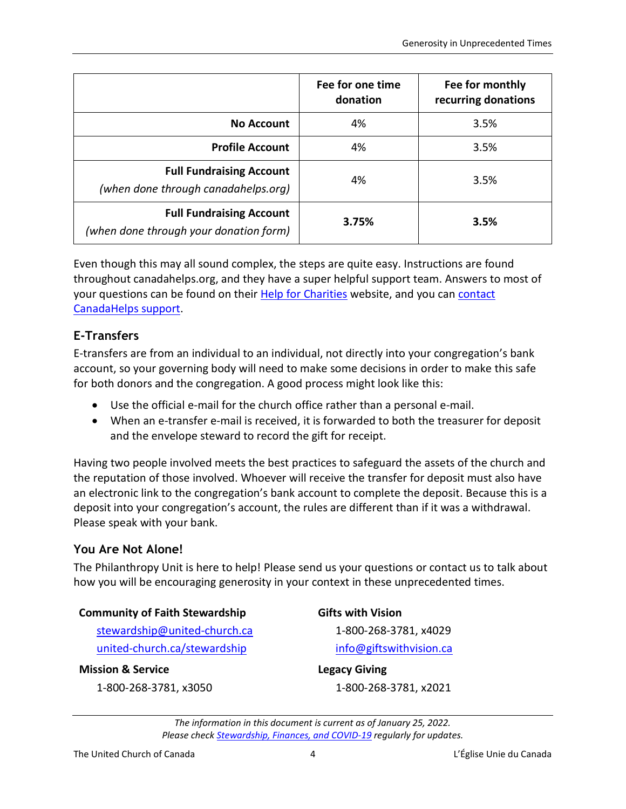|                                                                           | Fee for one time<br>donation | Fee for monthly<br>recurring donations |
|---------------------------------------------------------------------------|------------------------------|----------------------------------------|
| <b>No Account</b>                                                         | 4%                           | 3.5%                                   |
| <b>Profile Account</b>                                                    | 4%                           | 3.5%                                   |
| <b>Full Fundraising Account</b><br>(when done through canadahelps.org)    | 4%                           | 3.5%                                   |
| <b>Full Fundraising Account</b><br>(when done through your donation form) | 3.75%                        | 3.5%                                   |

Even though this may all sound complex, the steps are quite easy. Instructions are found throughout canadahelps.org, and they have a super helpful support team. Answers to most of your questions can be found on their [Help for Charities](http://charityhelp.canadahelps.org/) website, and you can contact [CanadaHelps support.](https://www.canadahelps.org/en/contact-us/)

### <span id="page-3-0"></span>**E-Transfers**

E-transfers are from an individual to an individual, not directly into your congregation's bank account, so your governing body will need to make some decisions in order to make this safe for both donors and the congregation. A good process might look like this:

- Use the official e-mail for the church office rather than a personal e-mail.
- When an e-transfer e-mail is received, it is forwarded to both the treasurer for deposit and the envelope steward to record the gift for receipt.

Having two people involved meets the best practices to safeguard the assets of the church and the reputation of those involved. Whoever will receive the transfer for deposit must also have an electronic link to the congregation's bank account to complete the deposit. Because this is a deposit into your congregation's account, the rules are different than if it was a withdrawal. Please speak with your bank.

#### <span id="page-3-1"></span>**You Are Not Alone!**

The Philanthropy Unit is here to help! Please send us your questions or contact us to talk about how you will be encouraging generosity in your context in these unprecedented times.

#### **Community of Faith Stewardship**

[stewardship@united-church.ca](mailto:stewardship@united-church.ca) [united-church.ca/stewardship](https://united-church.ca/stewardship)

#### **Mission & Service**

1-800-268-3781, x3050

**Gifts with Vision** 1-800-268-3781, x4029 [info@giftswithvision.ca](mailto:info@giftswithvision.ca)

**Legacy Giving** 1-800-268-3781, x2021

*The information in this document is current as of January 25, 2022. Please check [Stewardship, Finances, and COVID-19](https://united-church.ca/community-and-faith/being-community/faith-communities-and-covid-19/stewardship-finances-and-covid) regularly for updates.*